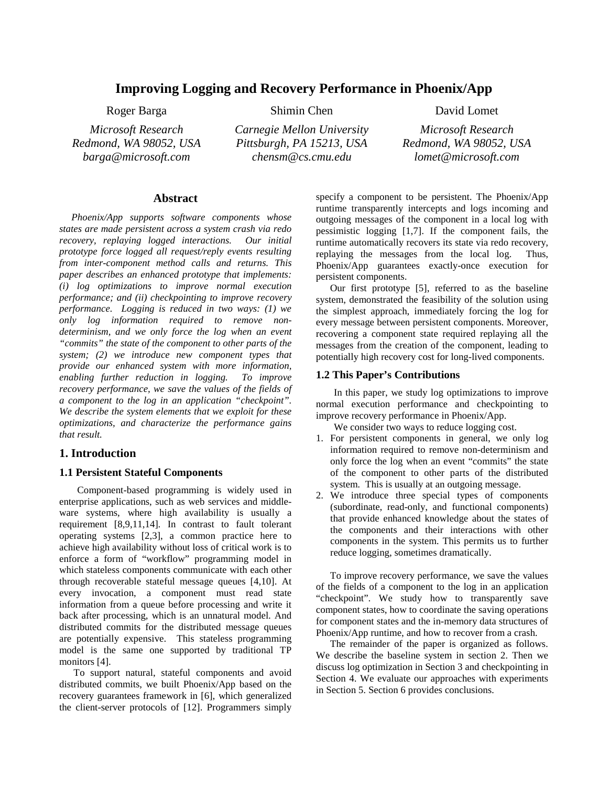# **Improving Logging and Recovery Performance in Phoenix/App**

*Microsoft Research Redmond, WA 98052, USA barga@microsoft.com* 

*Carnegie Mellon University Pittsburgh, PA 15213, USA* 

*chensm@cs.cmu.edu* 

Roger Barga Shimin Chen David Lomet

*Microsoft Research Redmond, WA 98052, USA lomet@microsoft.com*

### **Abstract**

*Phoenix/App supports software components whose states are made persistent across a system crash via redo recovery, replaying logged interactions. Our initial prototype force logged all request/reply events resulting from inter-component method calls and returns. This paper describes an enhanced prototype that implements: (i) log optimizations to improve normal execution performance; and (ii) checkpointing to improve recovery performance. Logging is reduced in two ways: (1) we only log information required to remove nondeterminism, and we only force the log when an event "commits" the state of the component to other parts of the system; (2) we introduce new component types that provide our enhanced system with more information, enabling further reduction in logging. To improve recovery performance, we save the values of the fields of a component to the log in an application "checkpoint". We describe the system elements that we exploit for these optimizations, and characterize the performance gains that result.* 

# **1. Introduction**

### **1.1 Persistent Stateful Components**

Component-based programming is widely used in enterprise applications, such as web services and middleware systems, where high availability is usually a requirement [8,9,11,14]. In contrast to fault tolerant operating systems [2,3], a common practice here to achieve high availability without loss of critical work is to enforce a form of "workflow" programming model in which stateless components communicate with each other through recoverable stateful message queues [4,10]. At every invocation, a component must read state information from a queue before processing and write it back after processing, which is an unnatural model. And distributed commits for the distributed message queues are potentially expensive. This stateless programming model is the same one supported by traditional TP monitors [4].

To support natural, stateful components and avoid distributed commits, we built Phoenix/App based on the recovery guarantees framework in [6], which generalized the client-server protocols of [12]. Programmers simply

specify a component to be persistent. The Phoenix/App runtime transparently intercepts and logs incoming and outgoing messages of the component in a local log with pessimistic logging [1,7]. If the component fails, the runtime automatically recovers its state via redo recovery, replaying the messages from the local log. Thus, Phoenix/App guarantees exactly-once execution for persistent components.

Our first prototype [5], referred to as the baseline system, demonstrated the feasibility of the solution using the simplest approach, immediately forcing the log for every message between persistent components. Moreover, recovering a component state required replaying all the messages from the creation of the component, leading to potentially high recovery cost for long-lived components.

#### **1.2 This Paper's Contributions**

In this paper, we study log optimizations to improve normal execution performance and checkpointing to improve recovery performance in Phoenix/App.

We consider two ways to reduce logging cost.

- 1. For persistent components in general, we only log information required to remove non-determinism and only force the log when an event "commits" the state of the component to other parts of the distributed system. This is usually at an outgoing message.
- 2. We introduce three special types of components (subordinate, read-only, and functional components) that provide enhanced knowledge about the states of the components and their interactions with other components in the system. This permits us to further reduce logging, sometimes dramatically.

To improve recovery performance, we save the values of the fields of a component to the log in an application "checkpoint". We study how to transparently save component states, how to coordinate the saving operations for component states and the in-memory data structures of Phoenix/App runtime, and how to recover from a crash.

The remainder of the paper is organized as follows. We describe the baseline system in section 2. Then we discuss log optimization in Section 3 and checkpointing in Section 4. We evaluate our approaches with experiments in Section 5. Section 6 provides conclusions.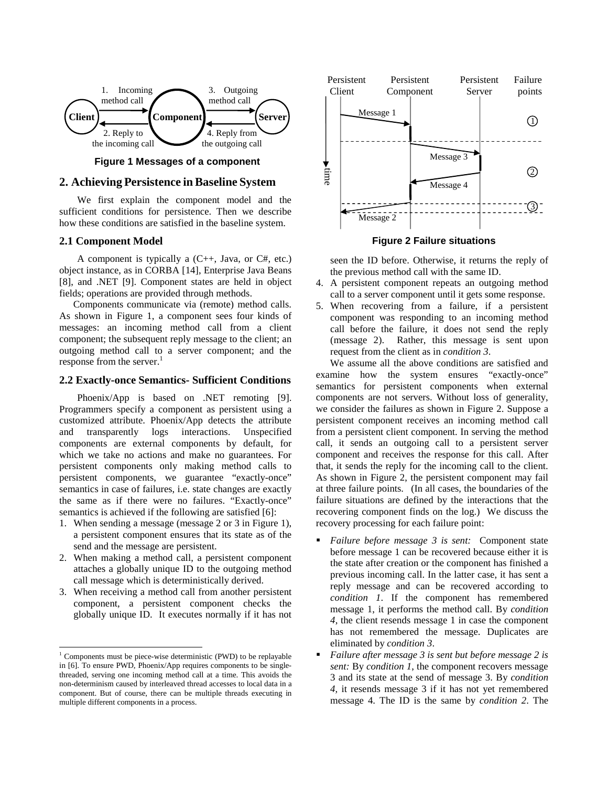



# **2. Achieving Persistence inBaseline System**

We first explain the component model and the sufficient conditions for persistence. Then we describe how these conditions are satisfied in the baseline system.

### **2.1 Component Model**

A component is typically a  $(C_{++}$ , Java, or  $C_{+}$ , etc.) object instance, as in CORBA [14], Enterprise Java Beans [8], and .NET [9]. Component states are held in object fields; operations are provided through methods.

Components communicate via (remote) method calls. As shown in Figure 1, a component sees four kinds of messages: an incoming method call from a client component; the subsequent reply message to the client; an outgoing method call to a server component; and the response from the server.<sup>1</sup>

#### **2.2 Exactly-once Semantics- Sufficient Conditions**

Phoenix/App is based on .NET remoting [9]. Programmers specify a component as persistent using a customized attribute. Phoenix/App detects the attribute and transparently logs interactions. Unspecified components are external components by default, for which we take no actions and make no guarantees. For persistent components only making method calls to persistent components, we guarantee "exactly-once" semantics in case of failures, i.e. state changes are exactly the same as if there were no failures. "Exactly-once" semantics is achieved if the following are satisfied [6]:

- 1. When sending a message (message 2 or 3 in Figure 1), a persistent component ensures that its state as of the send and the message are persistent.
- 2. When making a method call, a persistent component attaches a globally unique ID to the outgoing method call message which is deterministically derived.
- 3. When receiving a method call from another persistent component, a persistent component checks the globally unique ID. It executes normally if it has not

 $\overline{a}$ 



**Figure 2 Failure situations**

seen the ID before. Otherwise, it returns the reply of the previous method call with the same ID.

- 4. A persistent component repeats an outgoing method call to a server component until it gets some response.
- 5. When recovering from a failure, if a persistent component was responding to an incoming method call before the failure, it does not send the reply (message 2). Rather, this message is sent upon request from the client as in *condition 3*.

We assume all the above conditions are satisfied and examine how the system ensures "exactly-once" semantics for persistent components when external components are not servers. Without loss of generality, we consider the failures as shown in Figure 2. Suppose a persistent component receives an incoming method call from a persistent client component. In serving the method call, it sends an outgoing call to a persistent server component and receives the response for this call. After that, it sends the reply for the incoming call to the client. As shown in Figure 2, the persistent component may fail at three failure points. (In all cases, the boundaries of the failure situations are defined by the interactions that the recovering component finds on the log.) We discuss the recovery processing for each failure point:

- *Failure before message 3 is sent:* Component state before message 1 can be recovered because either it is the state after creation or the component has finished a previous incoming call. In the latter case, it has sent a reply message and can be recovered according to *condition 1*. If the component has remembered message 1, it performs the method call. By *condition 4*, the client resends message 1 in case the component has not remembered the message. Duplicates are eliminated by *condition 3*.
- *Failure after message 3 is sent but before message 2 is sent:* By *condition 1*, the component recovers message 3 and its state at the send of message 3. By *condition 4,* it resends message 3 if it has not yet remembered message 4. The ID is the same by *condition 2*. The

<sup>&</sup>lt;sup>1</sup> Components must be piece-wise deterministic (PWD) to be replayable in [6]. To ensure PWD, Phoenix/App requires components to be singlethreaded, serving one incoming method call at a time. This avoids the non-determinism caused by interleaved thread accesses to local data in a component. But of course, there can be multiple threads executing in multiple different components in a process.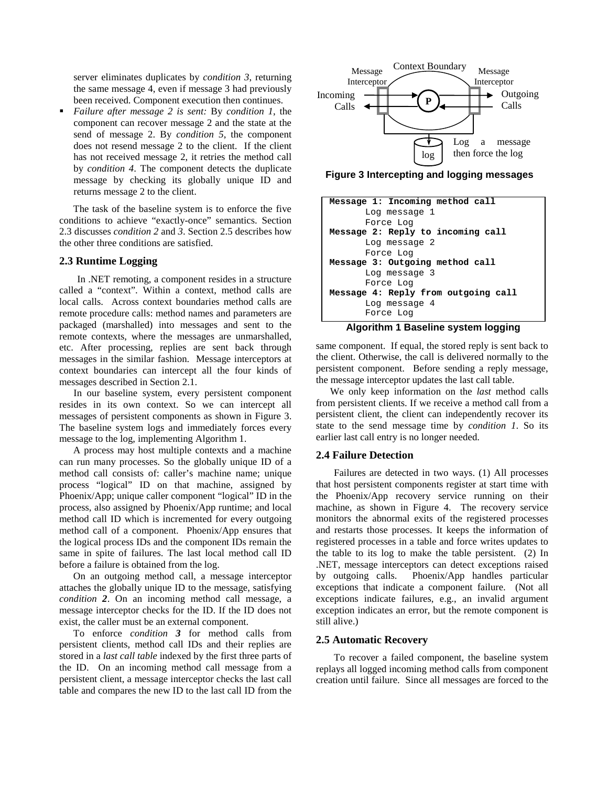server eliminates duplicates by *condition 3*, returning the same message 4, even if message 3 had previously been received. Component execution then continues.

 *Failure after message 2 is sent:* By *condition 1*, the component can recover message 2 and the state at the send of message 2. By *condition 5*, the component does not resend message 2 to the client. If the client has not received message 2, it retries the method call by *condition 4*. The component detects the duplicate message by checking its globally unique ID and returns message 2 to the client.

The task of the baseline system is to enforce the five conditions to achieve "exactly-once" semantics. Section 2.3 discusses *condition 2* and *3*. Section 2.5 describes how the other three conditions are satisfied.

#### **2.3 Runtime Logging**

In .NET remoting, a component resides in a structure called a "context". Within a context, method calls are local calls. Across context boundaries method calls are remote procedure calls: method names and parameters are packaged (marshalled) into messages and sent to the remote contexts, where the messages are unmarshalled, etc. After processing, replies are sent back through messages in the similar fashion. Message interceptors at context boundaries can intercept all the four kinds of messages described in Section 2.1.

In our baseline system, every persistent component resides in its own context. So we can intercept all messages of persistent components as shown in Figure 3. The baseline system logs and immediately forces every message to the log, implementing Algorithm 1.

A process may host multiple contexts and a machine can run many processes. So the globally unique ID of a method call consists of: caller's machine name; unique process "logical" ID on that machine, assigned by Phoenix/App; unique caller component "logical" ID in the process, also assigned by Phoenix/App runtime; and local method call ID which is incremented for every outgoing method call of a component. Phoenix/App ensures that the logical process IDs and the component IDs remain the same in spite of failures. The last local method call ID before a failure is obtained from the log.

On an outgoing method call, a message interceptor attaches the globally unique ID to the message, satisfying *condition 2*. On an incoming method call message, a message interceptor checks for the ID. If the ID does not exist, the caller must be an external component.

To enforce *condition 3* for method calls from persistent clients, method call IDs and their replies are stored in a *last call table* indexed by the first three parts of the ID. On an incoming method call message from a persistent client, a message interceptor checks the last call table and compares the new ID to the last call ID from the



**Figure 3 Intercepting and logging messages**

| Message 1: Incoming method call                |
|------------------------------------------------|
| Log message 1                                  |
| Force Log                                      |
| Message 2: Reply to incoming call              |
| Log message 2                                  |
| Force Log                                      |
| Message 3: Outgoing method call                |
| Log message 3                                  |
| Force Log                                      |
| Message 4: Reply from outgoing call            |
| Log message 4                                  |
| Force Log                                      |
| 8 Leis al-Lleis al-D<br>ويداعا المحرب فالمساوي |

**Algorithm 1 Baseline system logging** 

same component. If equal, the stored reply is sent back to the client. Otherwise, the call is delivered normally to the persistent component. Before sending a reply message, the message interceptor updates the last call table.

We only keep information on the *last* method calls from persistent clients. If we receive a method call from a persistent client, the client can independently recover its state to the send message time by *condition 1*. So its earlier last call entry is no longer needed.

### **2.4 Failure Detection**

Failures are detected in two ways. (1) All processes that host persistent components register at start time with the Phoenix/App recovery service running on their machine, as shown in Figure 4. The recovery service monitors the abnormal exits of the registered processes and restarts those processes. It keeps the information of registered processes in a table and force writes updates to the table to its log to make the table persistent. (2) In .NET, message interceptors can detect exceptions raised by outgoing calls. Phoenix/App handles particular exceptions that indicate a component failure. (Not all exceptions indicate failures, e.g., an invalid argument exception indicates an error, but the remote component is still alive.)

#### **2.5 Automatic Recovery**

To recover a failed component, the baseline system replays all logged incoming method calls from component creation until failure. Since all messages are forced to the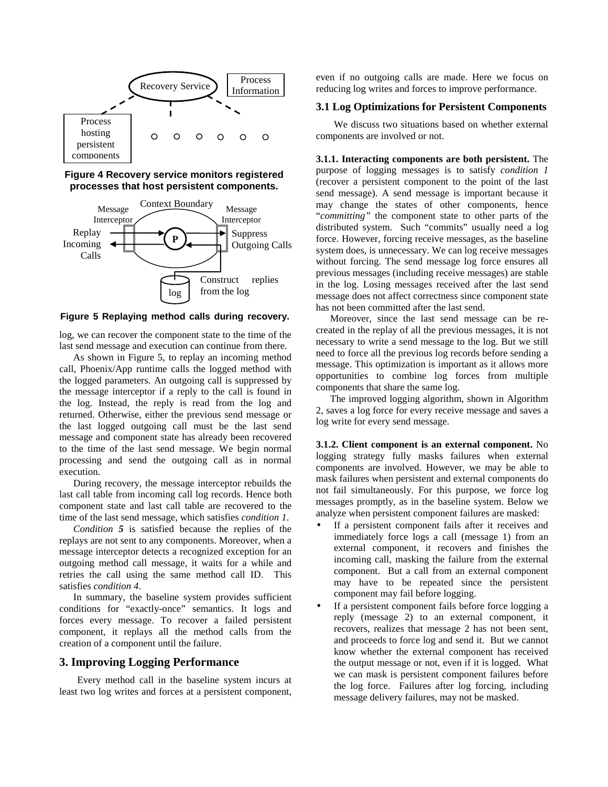





**Figure 5 Replaying method calls during recovery.**

log, we can recover the component state to the time of the last send message and execution can continue from there.

As shown in Figure 5, to replay an incoming method call, Phoenix/App runtime calls the logged method with the logged parameters. An outgoing call is suppressed by the message interceptor if a reply to the call is found in the log. Instead, the reply is read from the log and returned. Otherwise, either the previous send message or the last logged outgoing call must be the last send message and component state has already been recovered to the time of the last send message. We begin normal processing and send the outgoing call as in normal execution.

During recovery, the message interceptor rebuilds the last call table from incoming call log records. Hence both component state and last call table are recovered to the time of the last send message, which satisfies *condition 1*.

*Condition 5* is satisfied because the replies of the replays are not sent to any components. Moreover, when a message interceptor detects a recognized exception for an outgoing method call message, it waits for a while and retries the call using the same method call ID. This satisfies *condition 4*.

In summary, the baseline system provides sufficient conditions for "exactly-once" semantics. It logs and forces every message. To recover a failed persistent component, it replays all the method calls from the creation of a component until the failure.

# **3. Improving Logging Performance**

Every method call in the baseline system incurs at least two log writes and forces at a persistent component,

even if no outgoing calls are made. Here we focus on reducing log writes and forces to improve performance.

#### **3.1 Log Optimizations for Persistent Components**

We discuss two situations based on whether external components are involved or not.

**3.1.1. Interacting components are both persistent.** The purpose of logging messages is to satisfy *condition 1* (recover a persistent component to the point of the last send message). A send message is important because it may change the states of other components, hence "*committing"* the component state to other parts of the distributed system. Such "commits" usually need a log force. However, forcing receive messages, as the baseline system does, is unnecessary. We can log receive messages without forcing. The send message log force ensures all previous messages (including receive messages) are stable in the log. Losing messages received after the last send message does not affect correctness since component state has not been committed after the last send.

Moreover, since the last send message can be recreated in the replay of all the previous messages, it is not necessary to write a send message to the log. But we still need to force all the previous log records before sending a message. This optimization is important as it allows more opportunities to combine log forces from multiple components that share the same log.

The improved logging algorithm, shown in Algorithm 2, saves a log force for every receive message and saves a log write for every send message.

**3.1.2. Client component is an external component.** No logging strategy fully masks failures when external components are involved. However, we may be able to mask failures when persistent and external components do not fail simultaneously. For this purpose, we force log messages promptly, as in the baseline system. Below we analyze when persistent component failures are masked:

- If a persistent component fails after it receives and immediately force logs a call (message 1) from an external component, it recovers and finishes the incoming call, masking the failure from the external component. But a call from an external component may have to be repeated since the persistent component may fail before logging.
- If a persistent component fails before force logging a reply (message 2) to an external component, it recovers, realizes that message 2 has not been sent, and proceeds to force log and send it. But we cannot know whether the external component has received the output message or not, even if it is logged. What we can mask is persistent component failures before the log force. Failures after log forcing, including message delivery failures, may not be masked.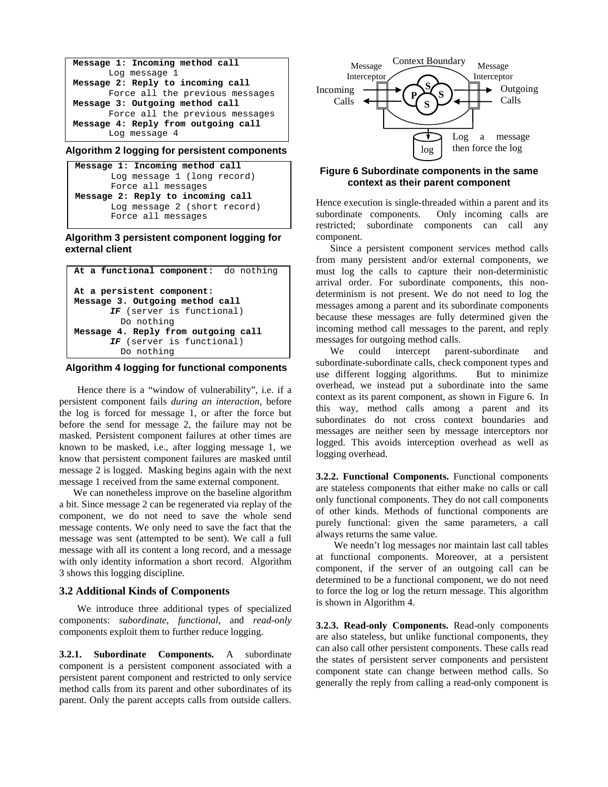

### **Algorithm 2 logging for persistent components**



### **Algorithm 3 persistent component logging for external client**



### **Algorithm 4 logging for functional components**

Hence there is a "window of vulnerability", i.e. if a persistent component fails *during an interaction*, before the log is forced for message 1, or after the force but before the send for message 2, the failure may not be masked. Persistent component failures at other times are known to be masked, i.e., after logging message 1, we know that persistent component failures are masked until message 2 is logged. Masking begins again with the next message 1 received from the same external component.

We can nonetheless improve on the baseline algorithm a bit. Since message 2 can be regenerated via replay of the component, we do not need to save the whole send message contents. We only need to save the fact that the message was sent (attempted to be sent). We call a full message with all its content a long record, and a message with only identity information a short record. Algorithm 3 shows this logging discipline.

#### **3.2 Additional Kinds of Components**

We introduce three additional types of specialized components: *subordinate*, *functional*, and *read-only* components exploit them to further reduce logging.

**3.2.1. Subordinate Components.** A subordinate component is a persistent component associated with a persistent parent component and restricted to only service method calls from its parent and other subordinates of its parent. Only the parent accepts calls from outside callers.



# **Figure 6 Subordinate components in the same context as their parent component**

Hence execution is single-threaded within a parent and its subordinate components. Only incoming calls are restricted; subordinate components can call any component.

Since a persistent component services method calls from many persistent and/or external components, we must log the calls to capture their non-deterministic arrival order. For subordinate components, this nondeterminism is not present. We do not need to log the messages among a parent and its subordinate components because these messages are fully determined given the incoming method call messages to the parent, and reply messages for outgoing method calls.

We could intercept parent-subordinate subordinate-subordinate calls, check component types and use different logging algorithms. But to minimize overhead, we instead put a subordinate into the same context as its parent component, as shown in Figure 6. In this way, method calls among a parent and its subordinates do not cross context boundaries and messages are neither seen by message interceptors nor logged. This avoids interception overhead as well as logging overhead.

**3.2.2. Functional Components.** Functional components are stateless components that either make no calls or call only functional components. They do not call components of other kinds. Methods of functional components are purely functional: given the same parameters, a call always returns the same value.

We needn't log messages nor maintain last call tables at functional components. Moreover, at a persistent component, if the server of an outgoing call can be determined to be a functional component, we do not need to force the log or log the return message. This algorithm is shown in Algorithm 4.

**3.2.3. Read-only Components.** Read-only components are also stateless, but unlike functional components, they can also call other persistent components. These calls read the states of persistent server components and persistent component state can change between method calls. So generally the reply from calling a read-only component is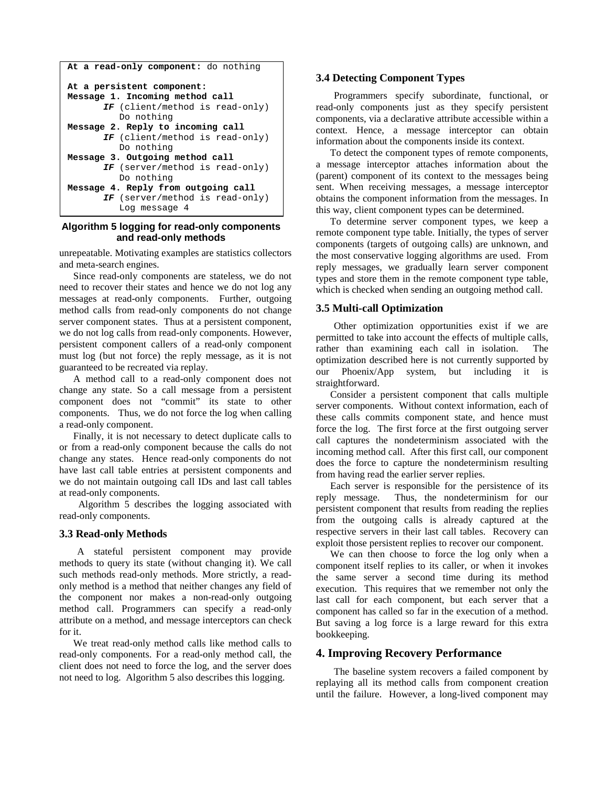```
At a read-only component: do nothing
At a persistent component: 
Message 1. Incoming method call 
       IF (client/method is read-only) 
          Do nothing 
Message 2. Reply to incoming call 
       IF (client/method is read-only) 
           Do nothing 
Message 3. Outgoing method call 
       IF (server/method is read-only) 
           Do nothing 
Message 4. Reply from outgoing call 
       IF (server/method is read-only) 
           Log message 4
```
#### **Algorithm 5 logging for read-only components and read-only methods**

unrepeatable. Motivating examples are statistics collectors and meta-search engines.

Since read-only components are stateless, we do not need to recover their states and hence we do not log any messages at read-only components. Further, outgoing method calls from read-only components do not change server component states. Thus at a persistent component, we do not log calls from read-only components. However, persistent component callers of a read-only component must log (but not force) the reply message, as it is not guaranteed to be recreated via replay.

A method call to a read-only component does not change any state. So a call message from a persistent component does not "commit" its state to other components. Thus, we do not force the log when calling a read-only component.

Finally, it is not necessary to detect duplicate calls to or from a read-only component because the calls do not change any states. Hence read-only components do not have last call table entries at persistent components and we do not maintain outgoing call IDs and last call tables at read-only components.

 Algorithm 5 describes the logging associated with read-only components.

### **3.3 Read-only Methods**

A stateful persistent component may provide methods to query its state (without changing it). We call such methods read-only methods. More strictly, a readonly method is a method that neither changes any field of the component nor makes a non-read-only outgoing method call. Programmers can specify a read-only attribute on a method, and message interceptors can check for it.

We treat read-only method calls like method calls to read-only components. For a read-only method call, the client does not need to force the log, and the server does not need to log. Algorithm 5 also describes this logging.

### **3.4 Detecting Component Types**

Programmers specify subordinate, functional, or read-only components just as they specify persistent components, via a declarative attribute accessible within a context. Hence, a message interceptor can obtain information about the components inside its context.

To detect the component types of remote components, a message interceptor attaches information about the (parent) component of its context to the messages being sent. When receiving messages, a message interceptor obtains the component information from the messages. In this way, client component types can be determined.

To determine server component types, we keep a remote component type table. Initially, the types of server components (targets of outgoing calls) are unknown, and the most conservative logging algorithms are used. From reply messages, we gradually learn server component types and store them in the remote component type table, which is checked when sending an outgoing method call.

### **3.5 Multi-call Optimization**

Other optimization opportunities exist if we are permitted to take into account the effects of multiple calls, rather than examining each call in isolation. The optimization described here is not currently supported by our Phoenix/App system, but including it is straightforward.

Consider a persistent component that calls multiple server components. Without context information, each of these calls commits component state, and hence must force the log. The first force at the first outgoing server call captures the nondeterminism associated with the incoming method call. After this first call, our component does the force to capture the nondeterminism resulting from having read the earlier server replies.

Each server is responsible for the persistence of its reply message. Thus, the nondeterminism for our persistent component that results from reading the replies from the outgoing calls is already captured at the respective servers in their last call tables. Recovery can exploit those persistent replies to recover our component.

We can then choose to force the log only when a component itself replies to its caller, or when it invokes the same server a second time during its method execution. This requires that we remember not only the last call for each component, but each server that a component has called so far in the execution of a method. But saving a log force is a large reward for this extra bookkeeping.

### **4. Improving Recovery Performance**

The baseline system recovers a failed component by replaying all its method calls from component creation until the failure. However, a long-lived component may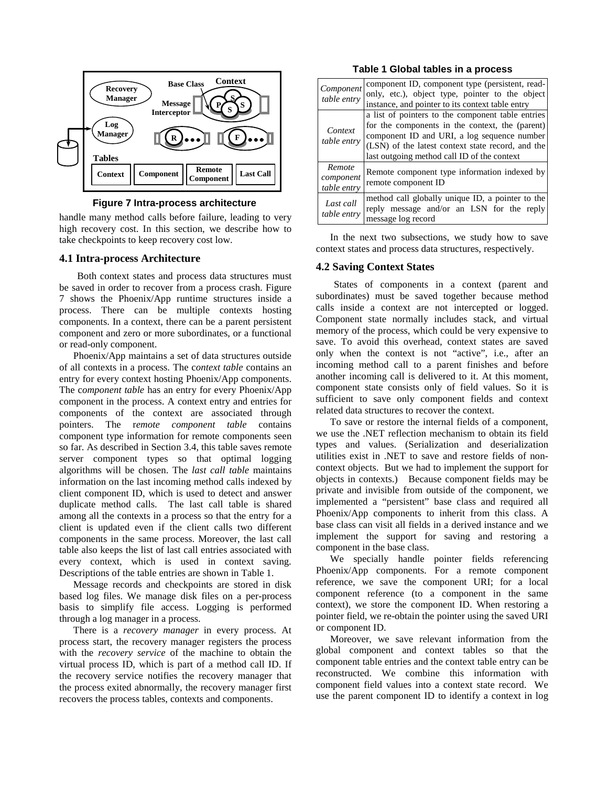

**Figure 7 Intra-process architecture**

handle many method calls before failure, leading to very high recovery cost. In this section, we describe how to take checkpoints to keep recovery cost low.

### **4.1 Intra-process Architecture**

Both context states and process data structures must be saved in order to recover from a process crash. Figure 7 shows the Phoenix/App runtime structures inside a process. There can be multiple contexts hosting components. In a context, there can be a parent persistent component and zero or more subordinates, or a functional or read-only component.

Phoenix/App maintains a set of data structures outside of all contexts in a process. The c*ontext table* contains an entry for every context hosting Phoenix/App components. The c*omponent table* has an entry for every Phoenix/App component in the process. A context entry and entries for components of the context are associated through pointers. The r*emote component table* contains component type information for remote components seen so far. As described in Section 3.4, this table saves remote server component types so that optimal logging algorithms will be chosen. The *last call table* maintains information on the last incoming method calls indexed by client component ID, which is used to detect and answer duplicate method calls. The last call table is shared among all the contexts in a process so that the entry for a client is updated even if the client calls two different components in the same process. Moreover, the last call table also keeps the list of last call entries associated with every context, which is used in context saving. Descriptions of the table entries are shown in Table 1.

Message records and checkpoints are stored in disk based log files. We manage disk files on a per-process basis to simplify file access. Logging is performed through a log manager in a process.

There is a *recovery manager* in every process. At process start, the recovery manager registers the process with the *recovery service* of the machine to obtain the virtual process ID, which is part of a method call ID. If the recovery service notifies the recovery manager that the process exited abnormally, the recovery manager first recovers the process tables, contexts and components.

|  |  |  |  | Table 1 Global tables in a process |
|--|--|--|--|------------------------------------|
|--|--|--|--|------------------------------------|

| Component<br>table entry           | component ID, component type (persistent, read-<br>only, etc.), object type, pointer to the object<br>instance, and pointer to its context table entry                                                                                                  |
|------------------------------------|---------------------------------------------------------------------------------------------------------------------------------------------------------------------------------------------------------------------------------------------------------|
| Context<br>table entry             | a list of pointers to the component table entries<br>for the components in the context, the (parent)<br>component ID and URI, a log sequence number<br>(LSN) of the latest context state record, and the<br>last outgoing method call ID of the context |
| Remote<br>component<br>table entry | Remote component type information indexed by<br>remote component ID                                                                                                                                                                                     |
| Last call<br>table entry           | method call globally unique ID, a pointer to the<br>reply message and/or an LSN for the reply<br>message log record                                                                                                                                     |

In the next two subsections, we study how to save context states and process data structures, respectively.

### **4.2 Saving Context States**

States of components in a context (parent and subordinates) must be saved together because method calls inside a context are not intercepted or logged. Component state normally includes stack, and virtual memory of the process, which could be very expensive to save. To avoid this overhead, context states are saved only when the context is not "active", i.e., after an incoming method call to a parent finishes and before another incoming call is delivered to it. At this moment, component state consists only of field values. So it is sufficient to save only component fields and context related data structures to recover the context.

To save or restore the internal fields of a component, we use the .NET reflection mechanism to obtain its field types and values. (Serialization and deserialization utilities exist in .NET to save and restore fields of noncontext objects. But we had to implement the support for objects in contexts.) Because component fields may be private and invisible from outside of the component, we implemented a "persistent" base class and required all Phoenix/App components to inherit from this class. A base class can visit all fields in a derived instance and we implement the support for saving and restoring a component in the base class.

We specially handle pointer fields referencing Phoenix/App components. For a remote component reference, we save the component URI; for a local component reference (to a component in the same context), we store the component ID. When restoring a pointer field, we re-obtain the pointer using the saved URI or component ID.

Moreover, we save relevant information from the global component and context tables so that the component table entries and the context table entry can be reconstructed. We combine this information with component field values into a context state record. We use the parent component ID to identify a context in log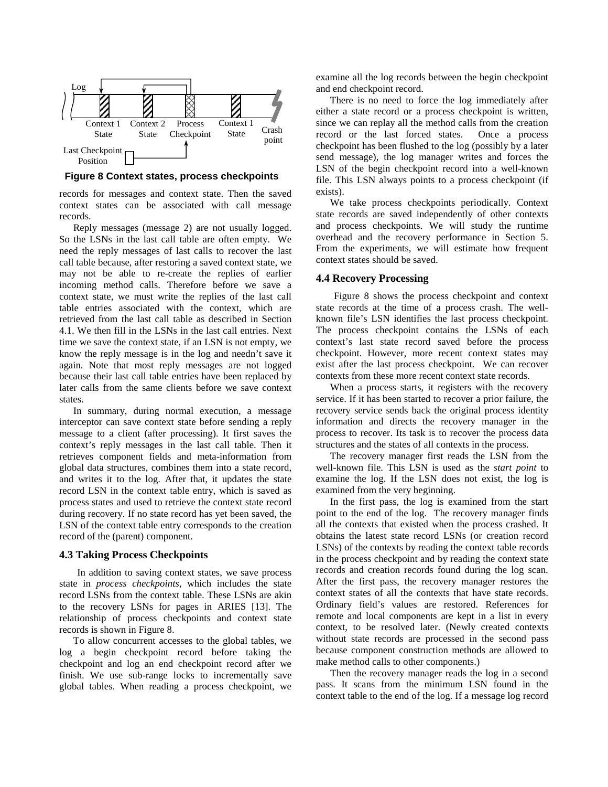

**Figure 8 Context states, process checkpoints** 

records for messages and context state. Then the saved context states can be associated with call message records.

Reply messages (message 2) are not usually logged. So the LSNs in the last call table are often empty. We need the reply messages of last calls to recover the last call table because, after restoring a saved context state, we may not be able to re-create the replies of earlier incoming method calls. Therefore before we save a context state, we must write the replies of the last call table entries associated with the context, which are retrieved from the last call table as described in Section 4.1. We then fill in the LSNs in the last call entries. Next time we save the context state, if an LSN is not empty, we know the reply message is in the log and needn't save it again. Note that most reply messages are not logged because their last call table entries have been replaced by later calls from the same clients before we save context states.

In summary, during normal execution, a message interceptor can save context state before sending a reply message to a client (after processing). It first saves the context's reply messages in the last call table. Then it retrieves component fields and meta-information from global data structures, combines them into a state record, and writes it to the log. After that, it updates the state record LSN in the context table entry, which is saved as process states and used to retrieve the context state record during recovery. If no state record has yet been saved, the LSN of the context table entry corresponds to the creation record of the (parent) component.

#### **4.3 Taking Process Checkpoints**

In addition to saving context states, we save process state in *process checkpoints*, which includes the state record LSNs from the context table. These LSNs are akin to the recovery LSNs for pages in ARIES [13]. The relationship of process checkpoints and context state records is shown in Figure 8.

To allow concurrent accesses to the global tables, we log a begin checkpoint record before taking the checkpoint and log an end checkpoint record after we finish. We use sub-range locks to incrementally save global tables. When reading a process checkpoint, we examine all the log records between the begin checkpoint and end checkpoint record.

There is no need to force the log immediately after either a state record or a process checkpoint is written, since we can replay all the method calls from the creation record or the last forced states. Once a process checkpoint has been flushed to the log (possibly by a later send message), the log manager writes and forces the LSN of the begin checkpoint record into a well-known file. This LSN always points to a process checkpoint (if exists).

We take process checkpoints periodically. Context state records are saved independently of other contexts and process checkpoints. We will study the runtime overhead and the recovery performance in Section 5. From the experiments, we will estimate how frequent context states should be saved.

#### **4.4 Recovery Processing**

Figure 8 shows the process checkpoint and context state records at the time of a process crash. The wellknown file's LSN identifies the last process checkpoint. The process checkpoint contains the LSNs of each context's last state record saved before the process checkpoint. However, more recent context states may exist after the last process checkpoint. We can recover contexts from these more recent context state records.

When a process starts, it registers with the recovery service. If it has been started to recover a prior failure, the recovery service sends back the original process identity information and directs the recovery manager in the process to recover. Its task is to recover the process data structures and the states of all contexts in the process.

The recovery manager first reads the LSN from the well-known file. This LSN is used as the *start point* to examine the log. If the LSN does not exist, the log is examined from the very beginning.

In the first pass, the log is examined from the start point to the end of the log. The recovery manager finds all the contexts that existed when the process crashed. It obtains the latest state record LSNs (or creation record LSNs) of the contexts by reading the context table records in the process checkpoint and by reading the context state records and creation records found during the log scan. After the first pass, the recovery manager restores the context states of all the contexts that have state records. Ordinary field's values are restored. References for remote and local components are kept in a list in every context, to be resolved later. (Newly created contexts without state records are processed in the second pass because component construction methods are allowed to make method calls to other components.)

Then the recovery manager reads the log in a second pass. It scans from the minimum LSN found in the context table to the end of the log. If a message log record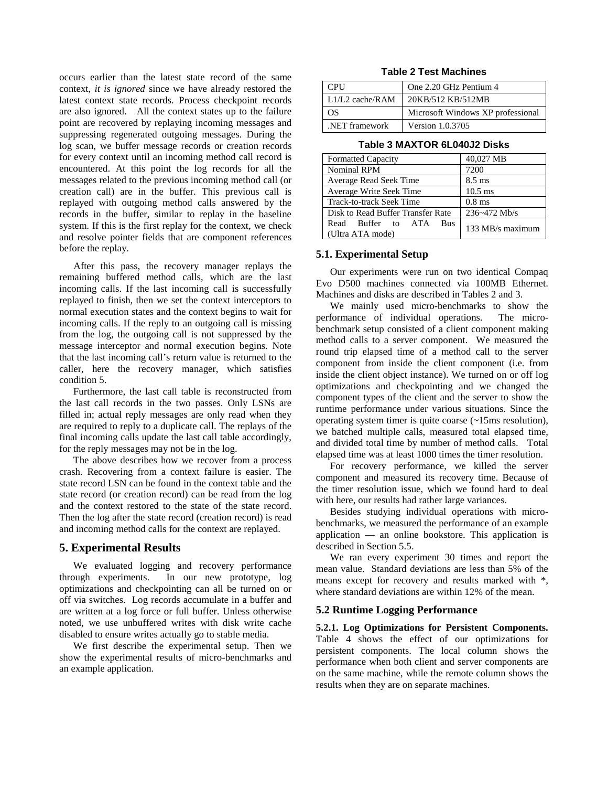occurs earlier than the latest state record of the same context, *it is ignored* since we have already restored the latest context state records. Process checkpoint records are also ignored. All the context states up to the failure point are recovered by replaying incoming messages and suppressing regenerated outgoing messages. During the log scan, we buffer message records or creation records for every context until an incoming method call record is encountered. At this point the log records for all the messages related to the previous incoming method call (or creation call) are in the buffer. This previous call is replayed with outgoing method calls answered by the records in the buffer, similar to replay in the baseline system. If this is the first replay for the context, we check and resolve pointer fields that are component references before the replay.

After this pass, the recovery manager replays the remaining buffered method calls, which are the last incoming calls. If the last incoming call is successfully replayed to finish, then we set the context interceptors to normal execution states and the context begins to wait for incoming calls. If the reply to an outgoing call is missing from the log, the outgoing call is not suppressed by the message interceptor and normal execution begins. Note that the last incoming call's return value is returned to the caller, here the recovery manager, which satisfies condition 5.

Furthermore, the last call table is reconstructed from the last call records in the two passes. Only LSNs are filled in; actual reply messages are only read when they are required to reply to a duplicate call. The replays of the final incoming calls update the last call table accordingly, for the reply messages may not be in the log.

The above describes how we recover from a process crash. Recovering from a context failure is easier. The state record LSN can be found in the context table and the state record (or creation record) can be read from the log and the context restored to the state of the state record. Then the log after the state record (creation record) is read and incoming method calls for the context are replayed.

# **5. Experimental Results**

We evaluated logging and recovery performance through experiments. In our new prototype, log optimizations and checkpointing can all be turned on or off via switches. Log records accumulate in a buffer and are written at a log force or full buffer. Unless otherwise noted, we use unbuffered writes with disk write cache disabled to ensure writes actually go to stable media.

We first describe the experimental setup. Then we show the experimental results of micro-benchmarks and an example application.

| <b>Table 2 Test Machines</b> |  |
|------------------------------|--|
|------------------------------|--|

| <b>CPU</b>      | One 2.20 GHz Pentium 4            |
|-----------------|-----------------------------------|
| L1/L2 cache/RAM | 20KB/512 KB/512MB                 |
| OS              | Microsoft Windows XP professional |
| NET framework   | Version 1.0.3705                  |

| <b>Formatted Capacity</b>                            | 40,027 MB        |
|------------------------------------------------------|------------------|
| <b>Nominal RPM</b>                                   | 7200             |
| Average Read Seek Time                               | $8.5 \text{ ms}$ |
| Average Write Seek Time                              | $10.5$ ms        |
| Track-to-track Seek Time                             | $0.8$ ms         |
| Disk to Read Buffer Transfer Rate                    | 236~472 Mb/s     |
| Read Buffer to ATA<br><b>Bus</b><br>(Ultra ATA mode) | 133 MB/s maximum |

#### **Table 3 MAXTOR 6L040J2 Disks**

### **5.1. Experimental Setup**

Our experiments were run on two identical Compaq Evo D500 machines connected via 100MB Ethernet. Machines and disks are described in Tables 2 and 3.

We mainly used micro-benchmarks to show the performance of individual operations. The microbenchmark setup consisted of a client component making method calls to a server component. We measured the round trip elapsed time of a method call to the server component from inside the client component (i.e. from inside the client object instance). We turned on or off log optimizations and checkpointing and we changed the component types of the client and the server to show the runtime performance under various situations. Since the operating system timer is quite coarse (~15ms resolution), we batched multiple calls, measured total elapsed time, and divided total time by number of method calls. Total elapsed time was at least 1000 times the timer resolution.

For recovery performance, we killed the server component and measured its recovery time. Because of the timer resolution issue, which we found hard to deal with here, our results had rather large variances.

Besides studying individual operations with microbenchmarks, we measured the performance of an example application — an online bookstore. This application is described in Section 5.5.

We ran every experiment 30 times and report the mean value. Standard deviations are less than 5% of the means except for recovery and results marked with \*, where standard deviations are within 12% of the mean.

### **5.2 Runtime Logging Performance**

**5.2.1. Log Optimizations for Persistent Components.**  Table 4 shows the effect of our optimizations for persistent components. The local column shows the performance when both client and server components are on the same machine, while the remote column shows the results when they are on separate machines.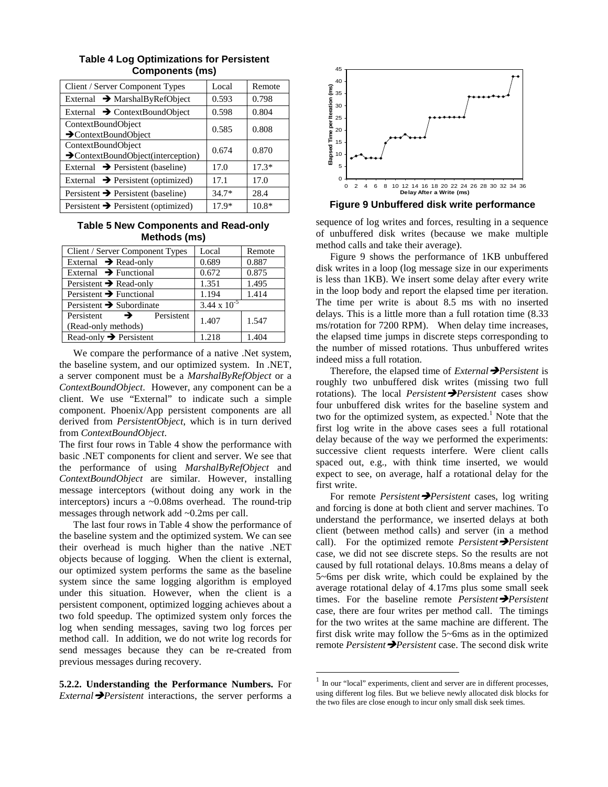| Client / Server Component Types                         | Local   | Remote  |
|---------------------------------------------------------|---------|---------|
| External $\rightarrow$ MarshalByRefObject               | 0.593   | 0.798   |
| External $\rightarrow$ ContextBoundObject               | 0.598   | 0.804   |
| ContextBoundObject<br>$\rightarrow$ ContextBoundObject  | 0.585   | 0.808   |
| ContextBoundObject<br>>ContextBoundObject(interception) | 0.674   | 0.870   |
| External $\rightarrow$ Persistent (baseline)            | 17.0    | $17.3*$ |
| External $\rightarrow$ Persistent (optimized)           | 17.1    | 17.0    |
| Persistent $\rightarrow$ Persistent (baseline)          | $34.7*$ | 28.4    |
| Persistent $\rightarrow$ Persistent (optimized)         | $17.9*$ | $10.8*$ |

# **Table 4 Log Optimizations for Persistent Components (ms)**

# **Table 5 New Components and Read-only Methods (ms)**

| Client / Server Component Types           | Local                 | Remote |
|-------------------------------------------|-----------------------|--------|
| External $\rightarrow$ Read-only          | 0.689                 | 0.887  |
| External $\rightarrow$ Functional         | 0.672                 | 0.875  |
| Persistent $\rightarrow$ Read-only        | 1.351                 | 1.495  |
| Persistent $\rightarrow$ Functional       | 1.194                 | 1.414  |
| Persistent $\rightarrow$ Subordinate      | $3.44 \times 10^{-5}$ |        |
| Persistent<br>Persistent<br>$\rightarrow$ | 1.407                 | 1.547  |
| (Read-only methods)                       |                       |        |
| Read-only $\rightarrow$ Persistent        | 1.218                 | 1.404  |

We compare the performance of a native .Net system, the baseline system, and our optimized system. In .NET, a server component must be a *MarshalByRefObject* or a *ContextBoundObject*. However, any component can be a client. We use "External" to indicate such a simple component. Phoenix/App persistent components are all derived from *PersistentObject*, which is in turn derived from *ContextBoundObject*.

The first four rows in Table 4 show the performance with basic .NET components for client and server. We see that the performance of using *MarshalByRefObject* and *ContextBoundObject* are similar. However, installing message interceptors (without doing any work in the interceptors) incurs a ~0.08ms overhead. The round-trip messages through network add ~0.2ms per call.

The last four rows in Table 4 show the performance of the baseline system and the optimized system. We can see their overhead is much higher than the native .NET objects because of logging. When the client is external, our optimized system performs the same as the baseline system since the same logging algorithm is employed under this situation. However, when the client is a persistent component, optimized logging achieves about a two fold speedup. The optimized system only forces the log when sending messages, saving two log forces per method call. In addition, we do not write log records for send messages because they can be re-created from previous messages during recovery.

**5.2.2. Understanding the Performance Numbers.** For *External* **P**ersistent interactions, the server performs a



**Figure 9 Unbuffered disk write performance**

sequence of log writes and forces, resulting in a sequence of unbuffered disk writes (because we make multiple method calls and take their average).

Figure 9 shows the performance of 1KB unbuffered disk writes in a loop (log message size in our experiments is less than 1KB). We insert some delay after every write in the loop body and report the elapsed time per iteration. The time per write is about 8.5 ms with no inserted delays. This is a little more than a full rotation time (8.33 ms/rotation for 7200 RPM). When delay time increases, the elapsed time jumps in discrete steps corresponding to the number of missed rotations. Thus unbuffered writes indeed miss a full rotation.

Therefore, the elapsed time of *External* **→***Persistent* is roughly two unbuffered disk writes (missing two full rotations). The local *Persistent* **>***Persistent* cases show four unbuffered disk writes for the baseline system and two for the optimized system, as expected.<sup>1</sup> Note that the first log write in the above cases sees a full rotational delay because of the way we performed the experiments: successive client requests interfere. Were client calls spaced out, e.g., with think time inserted, we would expect to see, on average, half a rotational delay for the first write.

For remote *Persistent* **>***Persistent* cases, log writing and forcing is done at both client and server machines. To understand the performance, we inserted delays at both client (between method calls) and server (in a method call). For the optimized remote *Persistent* Persistent case, we did not see discrete steps. So the results are not caused by full rotational delays. 10.8ms means a delay of 5~6ms per disk write, which could be explained by the average rotational delay of 4.17ms plus some small seek times. For the baseline remote *Persistent* Persistent case, there are four writes per method call. The timings for the two writes at the same machine are different. The first disk write may follow the 5~6ms as in the optimized remote *Persistent*  $\rightarrow$  *Persistent* case. The second disk write

1

 $<sup>1</sup>$  In our "local" experiments, client and server are in different processes,</sup> using different log files. But we believe newly allocated disk blocks for the two files are close enough to incur only small disk seek times.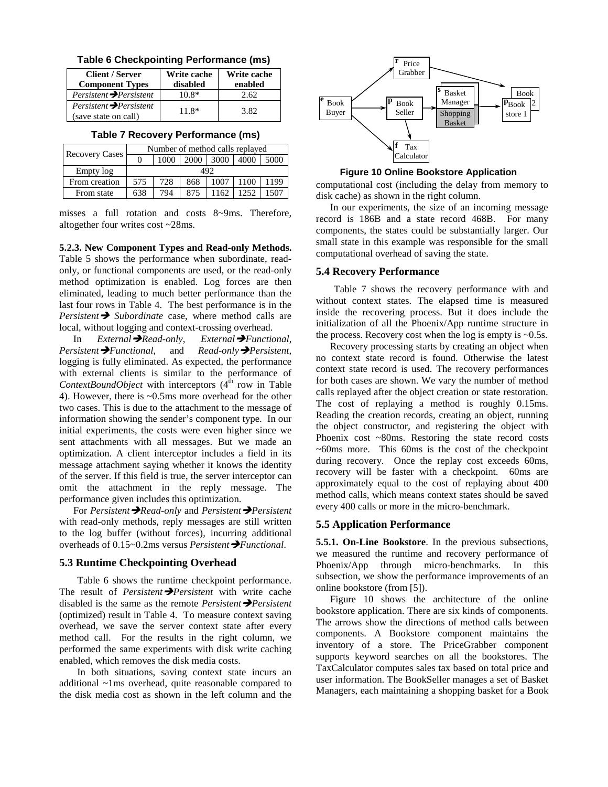|  |  |  | Table 6 Checkpointing Performance (ms) |  |
|--|--|--|----------------------------------------|--|
|--|--|--|----------------------------------------|--|

| <b>Client / Server</b><br><b>Component Types</b> | Write cache<br>disabled | Write cache<br>enabled |
|--------------------------------------------------|-------------------------|------------------------|
|                                                  | $10.8*$                 | 2.62                   |
| (save state on call)                             | $11.8*$                 | 3.82                   |

**Table 7 Recovery Performance (ms)**

| <b>Recovery Cases</b> | Number of method calls replayed |     |     |      |      |      |
|-----------------------|---------------------------------|-----|-----|------|------|------|
|                       | 3000<br>2000<br>4000<br>1000    |     |     |      |      | 5000 |
| Empty log             | 492                             |     |     |      |      |      |
| From creation         | 575                             | 728 | 868 | 1007 | 1100 | 1199 |
| From state            | 638                             | 794 | 875 | 1162 | 1252 | 1507 |

misses a full rotation and costs 8~9ms. Therefore, altogether four writes cost ~28ms.

**5.2.3. New Component Types and Read-only Methods.** Table 5 shows the performance when subordinate, readonly, or functional components are used, or the read-only method optimization is enabled. Log forces are then eliminated, leading to much better performance than the last four rows in Table 4. The best performance is in the *Persistent*  $\rightarrow$  *Subordinate* case, where method calls are local, without logging and context-crossing overhead.

In *External*Î*Read-only*, *External*Î*Functional*, *Persistent* $\rightarrow$ *Functional*, and *Read-only* $\rightarrow$ *Persistent,* logging is fully eliminated. As expected, the performance with external clients is similar to the performance of *ContextBoundObject* with interceptors  $(4<sup>th</sup> row in Table)$ 4). However, there is ~0.5ms more overhead for the other two cases. This is due to the attachment to the message of information showing the sender's component type. In our initial experiments, the costs were even higher since we sent attachments with all messages. But we made an optimization. A client interceptor includes a field in its message attachment saying whether it knows the identity of the server. If this field is true, the server interceptor can omit the attachment in the reply message. The performance given includes this optimization.

For *Persistent*  $\rightarrow$ *Read-only* and *Persistent*  $\rightarrow$ *Persistent* with read-only methods, reply messages are still written to the log buffer (without forces), incurring additional overheads of 0.15∼0.2ms versus *Persistent* → *Functional*.

#### **5.3 Runtime Checkpointing Overhead**

Table 6 shows the runtime checkpoint performance. The result of *Persistent Persistent* with write cache disabled is the same as the remote *Persistent* **>***Persistent* (optimized) result in Table 4. To measure context saving overhead, we save the server context state after every method call. For the results in the right column, we performed the same experiments with disk write caching enabled, which removes the disk media costs.

In both situations, saving context state incurs an additional ~1ms overhead, quite reasonable compared to the disk media cost as shown in the left column and the



**Figure 10 Online Bookstore Application** 

computational cost (including the delay from memory to disk cache) as shown in the right column.

In our experiments, the size of an incoming message record is 186B and a state record 468B. For many components, the states could be substantially larger. Our small state in this example was responsible for the small computational overhead of saving the state.

#### **5.4 Recovery Performance**

Table 7 shows the recovery performance with and without context states. The elapsed time is measured inside the recovering process. But it does include the initialization of all the Phoenix/App runtime structure in the process. Recovery cost when the log is empty is  $\sim 0.5$ s.

Recovery processing starts by creating an object when no context state record is found. Otherwise the latest context state record is used. The recovery performances for both cases are shown. We vary the number of method calls replayed after the object creation or state restoration. The cost of replaying a method is roughly 0.15ms. Reading the creation records, creating an object, running the object constructor, and registering the object with Phoenix cost ~80ms. Restoring the state record costs  $~60$ ms more. This 60ms is the cost of the checkpoint during recovery. Once the replay cost exceeds 60ms, recovery will be faster with a checkpoint. 60ms are approximately equal to the cost of replaying about 400 method calls, which means context states should be saved every 400 calls or more in the micro-benchmark.

### **5.5 Application Performance**

**5.5.1. On-Line Bookstore**. In the previous subsections, we measured the runtime and recovery performance of Phoenix/App through micro-benchmarks. In this subsection, we show the performance improvements of an online bookstore (from [5]).

Figure 10 shows the architecture of the online bookstore application. There are six kinds of components. The arrows show the directions of method calls between components. A Bookstore component maintains the inventory of a store. The PriceGrabber component supports keyword searches on all the bookstores. The TaxCalculator computes sales tax based on total price and user information. The BookSeller manages a set of Basket Managers, each maintaining a shopping basket for a Book